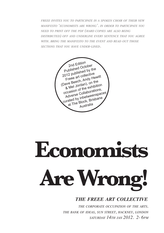*freee invites you to participate in a spoken choir of their new manifesto 'economists are wrong'. in order to participate you need to print off the pdf (hard copies are also being distributed) off and underline every sentence that you agree with. bring the manifesto to the event and read out those sections that you have under-lined.*

2nd Edition Published October 2012 published by the Freee art collective (Dave Beech, Andy Hewitt & Mel Jordan), on the occasion of the exhibition Adverse Collaborations, curated by inbetweenspaces at The Block, Brisbane Australia

# **Economists Are Wrong!**

# *the freee art collective*

*the corporate occupation of the arts. the bank of ideas, sun street, hackney, london saturday 14th jan 2012. 2- 6pm*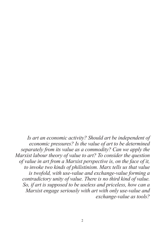*Is art an economic activity? Should art be independent of economic pressures? Is the value of art to be determined separately from its value as a commodity? Can we apply the Marxist labour theory of value to art? To consider the question of value in art from a Marxist perspective is, on the face of it, to invoke two kinds of philistinism. Marx tells us that value is twofold, with use-value and exchange-value forming a contradictory unity of value. There is no third kind of value. So, if art is supposed to be useless and priceless, how can a Marxist engage seriously with art with only use-value and exchange-value as tools?*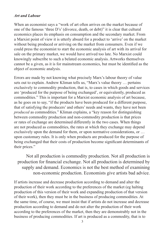## *Art and Labour*

When an economist says a "work of art often arrives on the market because of one of the famous 'three D's' (divorce, death, or debt)" it is clear that cultural economics places its emphasis on consumption and the secondary market. From a Marxist point of view it is utterly absurd for a product to 'arrive' on the market without being produced or arriving on the market from consumers. Even if we could press the economist to start the economic analysis of art with its arrival for sale on the primary market, we would have arrived too late. No Marxist could knowingly subscribe to such a belated economic analysis. Artworks themselves cannot be a given, as it is for mainstream economics, but must be identified as the object of economic analysis.

Errors are made by not knowing what precisely Marx's labour theory of value sets out to explain. Andrew Kliman tells us, "Marx's value theory … pertains exclusively to commodity production, that is, to cases in which goods and services are 'produced for the purpose of being exchanged', or equivalently, produced as commodities." This is important for a Marxist economic analysis of art because, as he goes on to say, "if the products have been produced for a different purpose, that of satisfying the producers' and others' needs and wants, they have not been *produced* as commodities." Kliman explains, a "key reason for distinguishing between commodity production and non-commodity production is that prices or rates of exchange are determined differently in the two cases. When things are not produced as commodities, the rates at which they exchange may depend exclusively upon the demand for them, or upon normative considerations, or … upon customary rules. It is only when products are produced for the purpose of being exchanged that their costs of production become significant determinants of their prices."

Not all production is commodity production. Not all production is production for financial exchange. Not all production is determined by supply and demand. Economics is not the best method of examining non-economic production. Economists give artists bad advice.

If artists increase and decrease production according to demand and alter the production of their work according to the preferences of the market (eg halting production of this version of their work and expanding production of that version of their work), then they must be in the business of producing commodities. At the same time, of course, we must insist that if artists do not increase and decrease production according to demand and do not alter the production of their work according to the preferences of the market, then they are demonstrably not in the business of producing commodities. If art is produced as a commodity, that is to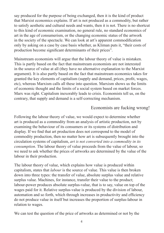say produced for the purpose of being exchanged, then it is the kind of product that Marxist economics explains. If art is not produced as a commodity, but rather to satisfy aesthetic and cultural needs and wants, then it is not. There is no shortcut to this kind of economic examination, no general rule, no standard economics of art in the age of consumerism, or the changing economic status of the artwork in the society of the spectacle. We can look at art's apparent commodification only by asking on a case by case basis whether, as Kliman puts it, "their costs of production become significant determinants of their prices".

Mainstream economists will argue that the labour theory of value is mistaken. This is partly based on the fact that mainstream economists are not interested in the source of value at all (they have no alternative explanation to the Marxist argument). It is also partly based on the fact that mainstream economics takes for granted the key elements of capitalism (supply and demand, prices, profit, wages, etc), whereas Marxism calls all these into question. Marxism shows us the limits of economic thought and the limits of a social system based on market forces. Marx was right. Capitalism inexorably leads to crisis. Economists tell us, on the contrary, that supply and demand is a self-correcting mechanism.

# Economists are fucking wrong!

Following the labour theory of value, we would expect to determine whether art is produced as a commodity from an analysis of artistic production, not by examining the behaviour of its consumers or its systems of distribution and display. If we find that art production does not correspond to the model of commodity production, then no matter how art is subsequently brought into the circulation systems of capitalism, *art is not converted into a commodity in its consumption*. The labour theory of value proceeds from the value of labour, so we need to ask whether the prices of artworks are determined by the value of the labour in their production.

The labour theory of value, which explains how value is produced within capitalism, states that *labour* is the source of value. This value is then broken down into three types: the transfer of value, absolute surplus value and relative surplus value. Machines, for instance, transfer their value to the product; labour-power produces absolute surplus-value, that is to say, value on top of the wages paid for it. Relative surplus-value is produced by the division of labour, automation and so forth, which through increases in productivity and efficiency do not produce value in itself but increases the proportion of surplus-labour in relation to wages.

We can test the question of the price of artworks as determined or not by the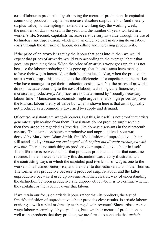cost of labour in production by observing the means of production. In capitalist commodity production capitalists increase absolute surplus-labour (and thereby surplus-value) by attempting to extend the working day, the working week, the numbers of days worked in the year, and the number of years worked in a worker's life. Second, capitalists increase relative surplus-value through the use of technology and supervision, which play an effective part in driving down labour costs through the division of labour, deskilling and increasing productivity.

If the price of an artwork is set by the labour that goes into it, then we would expect that prices of artworks would vary according to the average labour that goes into producing them. When the price of an artist's work goes up, this is not because the labour producing it has gone up, that the assistants have managed to have their wages increased, or their hours reduced. Also, when the price of an artist's work drops, this is not due to the efficiencies of competitors in the market who have managed to get their production costs down. No, the prices of artworks do not fluctuate according to the cost of labour, technological efficiencies, or increases in productivity. Art prices are not determined by 'socially necessary labour-time'. Mainstream economists might argue that art's high prices disprove the Marxist labour theory of value but what is shown here is that art is typically not produced as a commodity governed by supply and demand.

Of course, assistants are wage-labourers. But this, in itself, is not proof that artists generate surplus-value from them. If assistants do not produce surplus-value then they are to be regarded as luxuries, like domestic servants in the nineteenth century. The distinction between productive and unproductive labour was derived by Marx from Adam Smith. Smith's definition of unproductive labour still stands today: *labour not exchanged with capital but directly exchanged with revenue*. There is no such thing as productive or unproductive labour in itself. The difference is between labour that produces profits and labour that consumes revenue. In the nineteenth century this distinction was clearly illustrated with the contrasting ways in which the capitalist paid two kinds of wages, one to the workers in a business enterprise, and the other to domestic servants in their homes. The former was productive because it produced surplus-labour and the latter unproductive because it used up revenue. Another, clearer, way of understanding the distinction between productive and unproductive labour is to examine whether the capitalist or the labourer owns that labour.

If we retain our focus on artistic labour, rather than its products, the test of Smith's definition of unproductive labour provides clear results. Is artistic labour exchanged with capital or directly exchanged with revenue? Since artists are not wage-labourers employed by capitalists, but own their means of production as well as the products that they produce, we are forced to conclude that *artistic*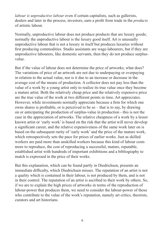*labour is unproductive labour* even if certain capitalists, such as gallerists, dealers and later in the process, investors, earn a profit from trade in the *products* of artistic labour.

Normally, unproductive labour does not produce products that are luxury goods; normally the unproductive labour is the luxury good itself. Art is unusually unproductive labour that is not a luxury in itself but produces luxuries without first producing commodities. Studio assistants are wage-labourers, but if they are unproductive labourers, like domestic servants, then they do not produce surplusvalue.

But if the value of labour does not determine the price of artworks, what does? The variations of price of an artwork are not due to underpaying or overpaying in relation to the actual value, nor is it due to an increase or decrease in the average cost of the means of production. A collector does not pay less than the value of a work by a young artist only to realize its true value once they become a mature artist. Both the relatively cheap price and the relatively expensive price are the true value of the work at two different points in time. Art appreciates. However, while investments normally appreciate because a firm for which one owns shares is profitable, or is perceived to be so – that is to say, by drawing on or anticipating the production of surplus-value in production - this is not the case in the appreciation of artworks. The relative cheapness of a work by a lesser known artist or 'early work' is based on the risk that the artist will never develop a significant career, and the relative expensiveness of the same work later on is based on the subsequent rarity of 'early work' and the price of the mature work, which retrospectively sets the pace for prices of earlier works. Just as skilled workers are paid more than unskilled workers because this kind of labour costs more to reproduce, the cost of reproducing a successful, mature, reputable, established artist with hundreds of important exhibitions and a bibliography to match is expressed in the price of their works.

But this explanation, which can be found partly in Diedrichsen, presents an immediate difficulty, which Diedrichsen misses. The reputation of an artist is not a quality which is contained in their labour, is not produced by them, and is not in their control. The reputation of an artist is ascribed to their work by others. So, if we are to explain the high prices of artworks in terms of the reproduction of labour-power that produces them, we need to consider the labour-power of those who contribute to the value of the work's reputation, namely art critics, theorists, curators and art historians.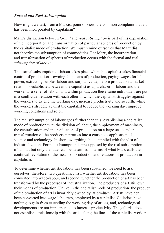# *Formal and Real Subsumption*

How might we test, from a Marxist point of view, the common complaint that art has been incorporated by capitalism?

Marx's distinction between *formal* and *real subsumption* is part of his explanation of the incorporation and transformation of particular spheres of production by the capitalist mode of production. We must remind ourselves that Marx did not theorize the subsumption of commodities. For Marx, the incorporation and transformation of spheres of production occurs with the formal and real *subsumption of labour*.

The formal subsumption of labour takes place when the capitalist takes financial control of production – owning the means of production, paying wages for labourpower, extracting surplus-labour and surplus-value, before production a market relation is established between the capitalist as a purchaser of labour and the worker as a seller of labour, and within production these same individuals are put in a conflictual relation with each other in which the capitalist struggles against the workers to extend the working day, increase productivity and so forth, while the workers struggle against the capitalist to reduce the working day, improve working conditions and so on.

The real subsumption of labour goes further than this, establishing a capitalist mode of production with the division of labour, the employment of machinery, the centralization and intensification of production on a large-scale and the transformation of the production process into a conscious application of science and technology. In short, everything that is implied with the idea of industrialization. Formal subsumption is presupposed by the real subsumption of labour, but only the latter can be described in terms of what Marx calls the continual revolution of the means of production and relations of production in capitalism.

To determine whether artistic labour has been subsumed, we need to ask ourselves, therefore, two questions. First, whether artistic labour has been converted into wage-labour, and second, whether the production of art has been transformed by the processes of industrialization. The producers of art still own their means of production. Unlike in the capitalist mode of production, the product of the production of art is invariably owned by its producer. Artists have not been converted into wage-labourers, employed by a capitalist. Gallerists have nothing to gain from extending the working day of artists, and, technological developments are not implemented to increase productivity. The gallerist does not establish a relationship with the artist along the lines of the capitalist-worker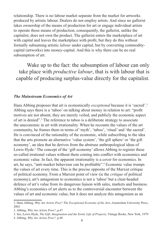relationship. There is no labour market separate from the market for artworks produced by artistic labour. Dealers do not employ artists. And since no gallerist takes ownership of the means of production for art or engage individual artists to operate those means of production, consequently, the gallerist, unlike the capitalist, does not own the product. The gallerist enters the marketplace of art with capital and leaves the marketplace with profit, but they do this without formally subsuming artistic *labour* under capital, but by converting commoditycapital (artworks) into money-capital. And this is why there can be no real subsumption of art.

Wake up to the fact: the subsumption of labour can only take place with *productive labour*, that is with labour that is capable of producing surplus-value directly for the capitalist.

### *The Mainstream Economics of Art*

Hans Abbing proposes that art is economically *exceptional* because it is 'sacred'.1 Abbing says there is a 'taboo' on talking about money in relation to art: "profit motives are not absent, they are merely veiled, and publicly the economic aspect of art is denied".2 The reference to taboo is a deliberate strategy to associate the uneconomic in art with irrationality. When he recounts the values of the art community, he frames them in terms of 'myth', 'taboo', 'ritual' and 'the sacred'. He is convinced of the rationality of the economic, while subscribing to the idea that the arts promote an alternative 'value system', 'the gift sphere' or 'the gift economy', an idea that he derives from the abstruse anthropological ideas of Lewis Hyde.<sup>3</sup> The concept of the 'gift economy' allows Abbing to register these so-called irrational values without them coming into conflict with economics and economic value. In fact, the apparent irrationality is a cover for economics. In art, he says, "anti-market behaviour can be profitable".4 Economic value trumps the values of art every time. This is the precise opposite of the Marxist critique of political economy. From a Marxist point of view (ie the *critique* of political economy), art's antagonism to economics is not a 'taboo' but a clear-headed defence of art's value from its dangerous liaison with sales, markets and business. Abbing's economics of art alerts us to the controversial encounter between the values of art and economic value, but it does not analyze this antagonism as an

<sup>1.</sup> Hans Abbing, *Why Are Artists Poor? The Exceptional Economy of the Arts*, Amsterdam University Press, 2002

<sup>2.</sup> Abbing, *Why Are Artists Poor?*, p.47

<sup>3.</sup> See, Lewis Hyde, *The Gift: Imagination and the Erotic Life of Property*, Vintage Books, New York, 1979

<sup>4.</sup> Abbing, *Why Are Artists Poor?,* p.48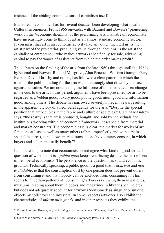instance of the abiding contradictions of capitalism itself.

Mainstream economics has for several decades been developing what it calls Cultural Economics. From 1966 onwards, with Baumol and Bowen's<sup>5</sup> pioneering work on the 'economic dilemma' of the performing arts, mainstream economists have increasingly come to think of art as an almost standard economic sector. If you insist that art is an economic activity like any other, then tell us, is the artist part of the proletariat, producing value through labour or, is the artist the capitalist or entrepreneur who makes artworks specifically for sale, advancing capital to pay the wages of assistants from which the artist makes profit?

The debates on the funding of the arts from the late 1960s through until the 1980s, byBaumol and Bowen, Richard Musgrave, Alan Peacock, William Grampp, Gary Becker, David Throsby and others, has followed a clear pattern in which the case for the public funding for the arts was increasingly shot down by the case against subsidies. We are now feeling the full force of this theoretical sea-change in the cuts to the arts. In this period, arguments have been presented for art to be regarded as a Veblen good, luxury good, public good, merit good and information good, among others. The debate has narrowed severely in recent years, resulting in the apparent victory of a neoliberal agenda for the arts. "Despite the special position that art occupies in the fabric and culture of societies," Clare MacAndrew says, "the reality is that art is produced, bought, and sold by individuals and institutions working within an economic framework inescapable from material and market constraints. The economic case is clear: the market for works of art functions at least as well as many others (albeit imperfectly and with certain special features), as it allows market transactions by voluntary consent, in which buyers and sellers mutually benefit."6

It is interesting to note that economists do not agree what kind of good art is. The question of whether art is a *public good* keeps resurfacing despite the best efforts of neoliberal economists. The persistence of the question has sound economic grounds. Technically speaking, a public good is a good that is *nonrival* and *nonexcludable*, ie that the consumption of it by one person does not prevent others from consuming it and that nobody can be excluded from consuming it. This seems to fit certain patterns of 'consuming' artworks (viewing them in galleries, museums, reading about them in books and magazines in libraries, online etc) but does not adequately account for artworks 'consumed' as singular or unique objects by collectors and investors. In some respects artworks also exhibit the characteristics of *information goods*, and in other respects they exhibit the

<sup>5.</sup> Baumol, W. and Bowen, W., *Performing Arts: the Economic Dilemma*, New York: Twentieth Century, 1966

<sup>6.</sup> Clare MacAndrew, *Fine Art and High Finance*, Bloomberg Press, NY, 2010, p.19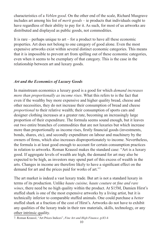characteristics of a *Veblen good*. On the other end of the scale, Richard Musgrave includes art among his list of *merit goods* – ie products that individuals ought to have regardless of their ability to pay for it. As such, for most of us artworks are distributed and displayed as public goods, not commodities.

It is rare – perhaps unique to  $art - for a product to have all these economic$ properties. Art does not belong to one category of good alone. Even the most expensive artworks exist within several distinct economic categories. This means that it is impossible to prevent art from spilling out of these economic categories, even when it seems to be exemplary of that category. This is the case in the relationship between art and luxury goods.

# *Art and the Economics of Luxury Goods*

In mainstream economics a luxury good is a good for which *demand increases more than proportionally as income rises*. What this refers to is the fact that even if the wealthy buy more expensive and higher quality bread, cheese and other necessities, they do not increase their consumption of bread and cheese *proportional* to their relative wealth; their consumption of sports cars and designer clothing increases at a greater rate, becoming an increasingly large proportion of their expenditure. The formula seems sound enough, but it leaves out two entire branches of commodities that are not luxuries but which increase more than proportionally as income rises, firstly financial goods (investments, bonds, shares, etc), and secondly expenditure on labour and machinery by the owners of firms, which also increases disproportionately to income. Nevertheless, the formula is at least good enough to account for certain consumption practices in relation to artworks. Roman Kraussl makes the standard case: "Art is a luxury good. If aggregate levels of wealth are high, the demand for art may also be expected to be high, as investors may spend part of this excess of wealth in the arts. Changes in income are therefore likely to have a significant effect on the demand for art and the prices paid for works of art."7

The art market is indeed a vast luxury trade. But art is not a standard luxury in terms of its production. Unlike *haute cuisine, haute couture* or *fine and rare wines*, there need be no high quality within the product. At \$15M, Damien Hirst's stuffed shark is one of the most expensive artworks by a living artist, but it is technically inferior to comparable stuffed animals. One could purchase a *better* stuffed shark at a fraction of the cost of Hirst's. Artworks do not have to exhibit any qualities of the luxury trade in their raw materials, skills, technology, or any other intrinsic quality.

<sup>7.</sup> Roman Kraussl, "Art Prices Indices", *Fine Art and High Finance*, p.83-4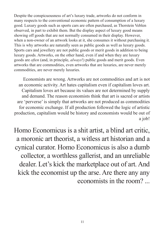Despite the conspicuousness of art's luxury trade, artworks do not conform in many respects to the conventional economic pattern of consumption of a luxury good. Luxury goods such as sports cars are often purchased, as Thorstein Veblen observed, in part to exhibit them. But the display aspect of luxury good means showing off goods that are not normally consumed in their display. However, when a non-owner of an artwork looks at it, she consumes it without purchasing it. This is why artworks are naturally seen as public goods as well as luxury goods. Sports cars and jewellery are not public goods or merit goods in addition to being luxury goods. Artworks, on the other hand, even if and when they are luxury goods are *often* (and, in principle, *always*!) public goods and merit goods. Even artworks that are commodities, even artworks that are luxuries, are never merely commodities, are never merely luxuries.

Economists are wrong. Artworks are not commodities and art is not an economic activity. Art hates capitalism even if capitalism loves art. Capitalism loves art because its values are not determined by supply and demand. The reason economists think that art is sacred or artists are 'perverse' is simply that artworks are not produced as commodities for economic exchange. If all production followed the logic of artistic production, capitalism would be history and economists would be out of a job!

Homo Economicus is a shit artist, a blind art critic, a moronic art theorist, a witless art historian and a cynical curator. Homo Economicus is also a dumb collector, a worthless gallerist, and an unreliable dealer. Let's kick the marketplace out of art. And kick the economist up the arse. Are there any any economists in the room? ...